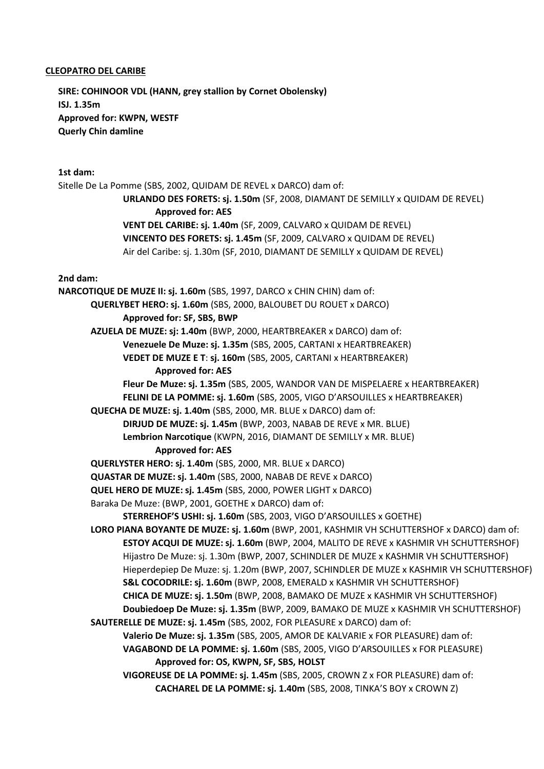## **CLEOPATRO DEL CARIBE**

**SIRE: COHINOOR VDL (HANN, grey stallion by Cornet Obolensky) ISJ. 1.35m Approved for: KWPN, WESTF Querly Chin damline**

## **1st dam:**

Sitelle De La Pomme (SBS, 2002, QUIDAM DE REVEL x DARCO) dam of: **URLANDO DES FORETS: sj. 1.50m** (SF, 2008, DIAMANT DE SEMILLY x QUIDAM DE REVEL) **Approved for: AES VENT DEL CARIBE: sj. 1.40m** (SF, 2009, CALVARO x QUIDAM DE REVEL) **VINCENTO DES FORETS: sj. 1.45m** (SF, 2009, CALVARO x QUIDAM DE REVEL) Air del Caribe: sj. 1.30m (SF, 2010, DIAMANT DE SEMILLY x QUIDAM DE REVEL) **2nd dam: NARCOTIQUE DE MUZE II: sj. 1.60m** (SBS, 1997, DARCO x CHIN CHIN) dam of: **QUERLYBET HERO: sj. 1.60m** (SBS, 2000, BALOUBET DU ROUET x DARCO) **Approved for: SF, SBS, BWP AZUELA DE MUZE: sj: 1.40m** (BWP, 2000, HEARTBREAKER x DARCO) dam of: **Venezuele De Muze: sj. 1.35m** (SBS, 2005, CARTANI x HEARTBREAKER) **VEDET DE MUZE E T**: **sj. 160m** (SBS, 2005, CARTANI x HEARTBREAKER) **Approved for: AES Fleur De Muze: sj. 1.35m** (SBS, 2005, WANDOR VAN DE MISPELAERE x HEARTBREAKER) **FELINI DE LA POMME: sj. 1.60m** (SBS, 2005, VIGO D'ARSOUILLES x HEARTBREAKER) **QUECHA DE MUZE: sj. 1.40m** (SBS, 2000, MR. BLUE x DARCO) dam of: **[DIRJUD DE MUZE:](https://www.horsetelex.nl/horses/pedigree/100187) sj. 1.45m** (BWP, 2003, NABAB DE REVE x MR. BLUE) **Lembrion Narcotique** (KWPN, 2016, DIAMANT DE SEMILLY x MR. BLUE) **Approved for: AES QUERLYSTER HERO: sj. 1.40m** (SBS, 2000, MR. BLUE x DARCO) **QUASTAR DE MUZE: sj. 1.40m** (SBS, 2000, NABAB DE REVE x DARCO) **QUEL HERO DE MUZE: sj. 1.45m** (SBS, 2000, POWER LIGHT x DARCO) Baraka De Muze: (BWP, 2001, GOETHE x DARCO) dam of: **STERREHOF'S USHI: sj. 1.60m** (SBS, 2003, VIGO D'ARSOUILLES x GOETHE) **LORO PIANA BOYANTE DE MUZE: sj. 1.60m** (BWP, 2001, KASHMIR VH SCHUTTERSHOF x DARCO) dam of: **ESTOY ACQUI DE MUZE: sj. 1.60m** (BWP, 2004, MALITO DE REVE x KASHMIR VH SCHUTTERSHOF) Hijastro De Muze: sj. 1.30m (BWP, 2007, SCHINDLER DE MUZE x KASHMIR VH SCHUTTERSHOF) Hieperdepiep De Muze: sj. 1.20m (BWP, 2007, SCHINDLER DE MUZE x KASHMIR VH SCHUTTERSHOF) **S&L COCODRILE: sj. 1.60m** (BWP, 2008, EMERALD x KASHMIR VH SCHUTTERSHOF) **CHICA DE MUZE: sj. 1.50m** (BWP, 2008, BAMAKO DE MUZE x KASHMIR VH SCHUTTERSHOF) **Doubiedoep De Muze: sj. 1.35m** (BWP, 2009, BAMAKO DE MUZE x KASHMIR VH SCHUTTERSHOF) **SAUTERELLE DE MUZE: sj. 1.45m** (SBS, 2002, FOR PLEASURE x DARCO) dam of: **Valerio De Muze: sj. 1.35m** (SBS, 2005, AMOR DE KALVARIE x FOR PLEASURE) dam of: **VAGABOND DE LA POMME: sj. 1.60m** (SBS, 2005, VIGO D'ARSOUILLES x FOR PLEASURE) **Approved for: OS, KWPN, SF, SBS, HOLST VIGOREUSE DE LA POMME: sj. 1.45m** (SBS, 2005, CROWN Z x FOR PLEASURE) dam of: **CACHAREL DE LA POMME: sj. 1.40m** (SBS, 2008, TINKA'S BOY x CROWN Z)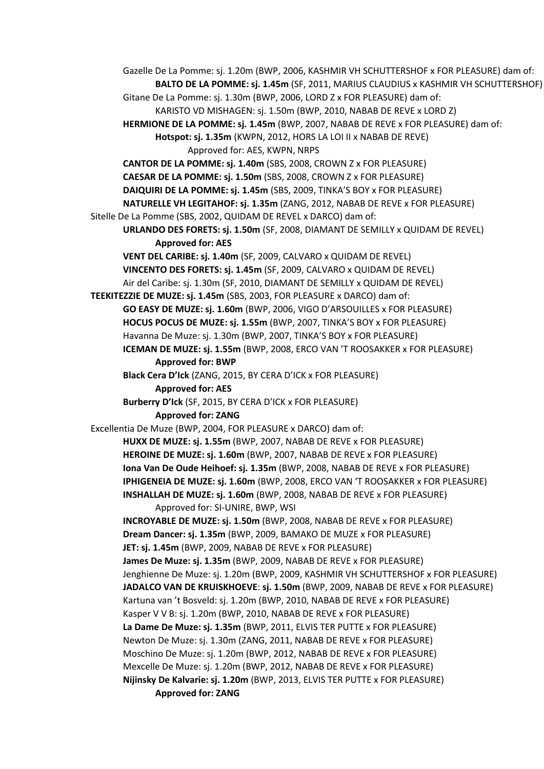Gazelle De La Pomme: sj. 1.20m (BWP, 2006, KASHMIR VH SCHUTTERSHOF x FOR PLEASURE) dam of: **BALTO DE LA POMME: sj. 1.45m** (SF, 2011, MARIUS CLAUDIUS x KASHMIR VH SCHUTTERSHOF) Gitane De La Pomme: sj. 1.30m (BWP, 2006, LORD Z x FOR PLEASURE) dam of: KARISTO VD MISHAGEN: sj. 1.50m (BWP, 2010, NABAB DE REVE x LORD Z) **HERMIONE DE LA POMME: sj. 1.45m** (BWP, 2007, NABAB DE REVE x FOR PLEASURE) dam of: **Hotspot: sj. 1.35m** (KWPN, 2012, HORS LA LOI II x NABAB DE REVE) Approved for: AES, KWPN, NRPS **CANTOR DE LA POMME: sj. 1.40m** (SBS, 2008, CROWN Z x FOR PLEASURE) **CAESAR DE LA POMME: sj. 1.50m** (SBS, 2008, CROWN Z x FOR PLEASURE) **DAIQUIRI DE LA POMME: sj. 1.45m** (SBS, 2009, TINKA'S BOY x FOR PLEASURE) **NATURELLE VH LEGITAHOF: sj. 1.35m** (ZANG, 2012, NABAB DE REVE x FOR PLEASURE) Sitelle De La Pomme (SBS, 2002, QUIDAM DE REVEL x DARCO) dam of: **URLANDO DES FORETS: sj. 1.50m** (SF, 2008, DIAMANT DE SEMILLY x QUIDAM DE REVEL) **Approved for: AES VENT DEL CARIBE: sj. 1.40m** (SF, 2009, CALVARO x QUIDAM DE REVEL) **VINCENTO DES FORETS: sj. 1.45m** (SF, 2009, CALVARO x QUIDAM DE REVEL) Air del Caribe: sj. 1.30m (SF, 2010, DIAMANT DE SEMILLY x QUIDAM DE REVEL) **TEEKITEZZIE DE MUZE: sj. 1.45m** (SBS, 2003, FOR PLEASURE x DARCO) dam of: **GO EASY DE MUZE: sj. 1.60m** (BWP, 2006, VIGO D'ARSOUILLES x FOR PLEASURE) **HOCUS POCUS DE MUZE: sj. 1.55m** (BWP, 2007, TINKA'S BOY x FOR PLEASURE) Havanna De Muze: sj. 1.30m (BWP, 2007, TINKA'S BOY x FOR PLEASURE) **ICEMAN DE MUZE: sj. 1.55m** (BWP, 2008, ERCO VAN 'T ROOSAKKER x FOR PLEASURE) **Approved for: BWP Black Cera D'Ick** (ZANG, 2015, BY CERA D'ICK x FOR PLEASURE) **Approved for: AES Burberry D'Ick** (SF, 2015, BY CERA D'ICK x FOR PLEASURE) **Approved for: ZANG** Excellentia De Muze (BWP, 2004, FOR PLEASURE x DARCO) dam of: **HUXX DE MUZE: sj. 1.55m** (BWP, 2007, NABAB DE REVE x FOR PLEASURE) **HEROINE DE MUZE: sj. 1.60m** (BWP, 2007, NABAB DE REVE x FOR PLEASURE) **Iona Van De Oude Heihoef: sj. 1.35m** (BWP, 2008, NABAB DE REVE x FOR PLEASURE) **IPHIGENEIA DE MUZE: sj. 1.60m** (BWP, 2008, ERCO VAN 'T ROOSAKKER x FOR PLEASURE) **INSHALLAH DE MUZE: sj. 1.60m** (BWP, 2008, NABAB DE REVE x FOR PLEASURE) Approved for: SI-UNIRE, BWP, WSI **INCROYABLE DE MUZE: sj. 1.50m** (BWP, 2008, NABAB DE REVE x FOR PLEASURE) **Dream Dancer: sj. 1.35m** (BWP, 2009, BAMAKO DE MUZE x FOR PLEASURE) **JET: sj. 1.45m** (BWP, 2009, NABAB DE REVE x FOR PLEASURE) **James De Muze: sj. 1.35m** (BWP, 2009, NABAB DE REVE x FOR PLEASURE) Jenghienne De Muze: sj. 1.20m (BWP, 2009, KASHMIR VH SCHUTTERSHOF x FOR PLEASURE) **JADALCO VAN DE KRUISKHOEVE**: **sj. 1.50m** (BWP, 2009, NABAB DE REVE x FOR PLEASURE) Kartuna van 't Bosveld: sj. 1.20m (BWP, 2010, NABAB DE REVE x FOR PLEASURE) Kasper V V B: sj. 1.20m (BWP, 2010, NABAB DE REVE x FOR PLEASURE) **La Dame De Muze: sj. 1.35m** (BWP, 2011, ELVIS TER PUTTE x FOR PLEASURE) Newton De Muze: sj. 1.30m (ZANG, 2011, NABAB DE REVE x FOR PLEASURE) Moschino De Muze: sj. 1.20m (BWP, 2012, NABAB DE REVE x FOR PLEASURE) Mexcelle De Muze: sj. 1.20m (BWP, 2012, NABAB DE REVE x FOR PLEASURE) **Nijinsky De Kalvarie: sj. 1.20m** (BWP, 2013, ELVIS TER PUTTE x FOR PLEASURE) **Approved for: ZANG**